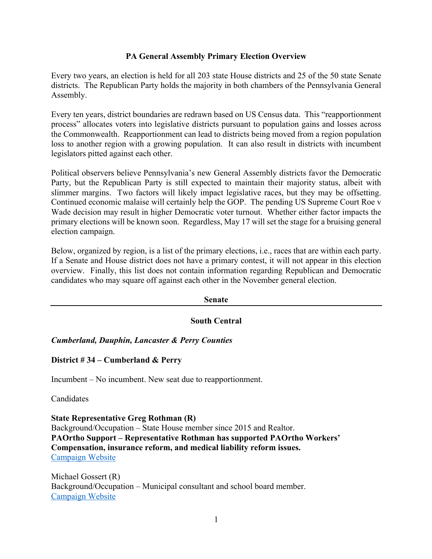# **PA General Assembly Primary Election Overview**

Every two years, an election is held for all 203 state House districts and 25 of the 50 state Senate districts. The Republican Party holds the majority in both chambers of the Pennsylvania General Assembly.

Every ten years, district boundaries are redrawn based on US Census data. This "reapportionment process" allocates voters into legislative districts pursuant to population gains and losses across the Commonwealth. Reapportionment can lead to districts being moved from a region population loss to another region with a growing population. It can also result in districts with incumbent legislators pitted against each other.

Political observers believe Pennsylvania's new General Assembly districts favor the Democratic Party, but the Republican Party is still expected to maintain their majority status, albeit with slimmer margins. Two factors will likely impact legislative races, but they may be offsetting. Continued economic malaise will certainly help the GOP. The pending US Supreme Court Roe v Wade decision may result in higher Democratic voter turnout. Whether either factor impacts the primary elections will be known soon. Regardless, May 17 will set the stage for a bruising general election campaign.

Below, organized by region, is a list of the primary elections, i.e., races that are within each party. If a Senate and House district does not have a primary contest, it will not appear in this election overview. Finally, this list does not contain information regarding Republican and Democratic candidates who may square off against each other in the November general election.

| <b>Senate</b> |                      |
|---------------|----------------------|
|               | <b>South Central</b> |

*Cumberland, Dauphin, Lancaster & Perry Counties*

**District # 34 – Cumberland & Perry**

Incumbent – No incumbent. New seat due to reapportionment.

Candidates

**State Representative Greg Rothman (R)** Background/Occupation – State House member since 2015 and Realtor. **PAOrtho Support – Representative Rothman has supported PAOrtho Workers' Compensation, insurance reform, and medical liability reform issues.**  Campaign Website

Michael Gossert (R) Background/Occupation – Municipal consultant and school board member. Campaign Website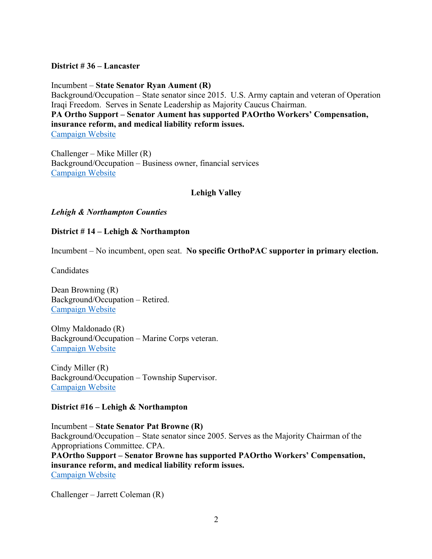# **District # 36 – Lancaster**

Incumbent – **State Senator Ryan Aument (R)** Background/Occupation – State senator since 2015. U.S. Army captain and veteran of Operation Iraqi Freedom. Serves in Senate Leadership as Majority Caucus Chairman. **PA Ortho Support – Senator Aument has supported PAOrtho Workers' Compensation, insurance reform, and medical liability reform issues.**  Campaign Website

Challenger – Mike Miller (R) Background/Occupation – Business owner, financial services Campaign Website

# **Lehigh Valley**

# *Lehigh & Northampton Counties*

# **District # 14 – Lehigh & Northampton**

Incumbent – No incumbent, open seat. **No specific OrthoPAC supporter in primary election.** 

**Candidates** 

Dean Browning (R) Background/Occupation – Retired. Campaign Website

Olmy Maldonado (R) Background/Occupation – Marine Corps veteran. Campaign Website

Cindy Miller (R) Background/Occupation – Township Supervisor. Campaign Website

# **District #16 – Lehigh & Northampton**

Incumbent – **State Senator Pat Browne (R)** Background/Occupation – State senator since 2005. Serves as the Majority Chairman of the Appropriations Committee. CPA. **PAOrtho Support – Senator Browne has supported PAOrtho Workers' Compensation,** 

**insurance reform, and medical liability reform issues.**  Campaign Website

Challenger – Jarrett Coleman (R)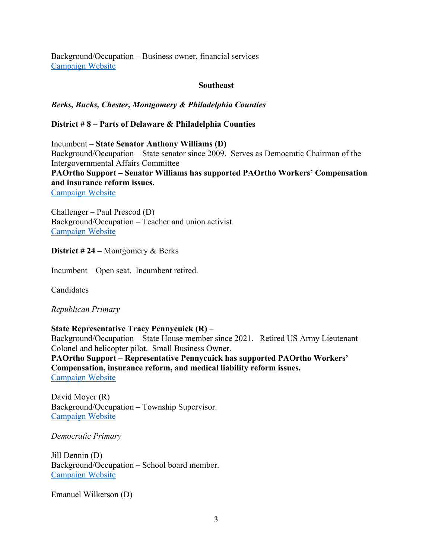Background/Occupation – Business owner, financial services Campaign Website

### **Southeast**

# *Berks, Bucks, Chester, Montgomery & Philadelphia Counties*

# **District # 8 – Parts of Delaware & Philadelphia Counties**

Incumbent – **State Senator Anthony Williams (D)** Background/Occupation – State senator since 2009. Serves as Democratic Chairman of the Intergovernmental Affairs Committee **PAOrtho Support – Senator Williams has supported PAOrtho Workers' Compensation and insurance reform issues.**  Campaign Website

Challenger – Paul Prescod (D) Background/Occupation – Teacher and union activist. Campaign Website

### **District # 24 –** Montgomery & Berks

Incumbent – Open seat. Incumbent retired.

**Candidates** 

*Republican Primary* 

**State Representative Tracy Pennycuick (R)** – Background/Occupation – State House member since 2021. Retired US Army Lieutenant

Colonel and helicopter pilot. Small Business Owner. **PAOrtho Support – Representative Pennycuick has supported PAOrtho Workers' Compensation, insurance reform, and medical liability reform issues.**  Campaign Website

David Moyer (R) Background/Occupation – Township Supervisor. Campaign Website

*Democratic Primary* 

Jill Dennin (D) Background/Occupation – School board member. Campaign Website

Emanuel Wilkerson (D)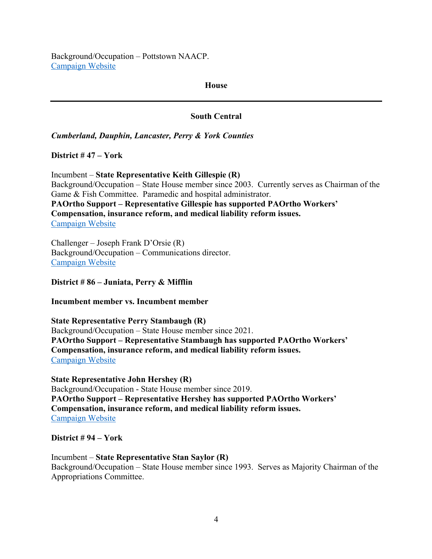Background/Occupation – Pottstown NAACP. Campaign Website

#### **House**

# **South Central**

*Cumberland, Dauphin, Lancaster, Perry & York Counties*

**District # 47 – York** 

Incumbent – **State Representative Keith Gillespie (R)** Background/Occupation – State House member since 2003. Currently serves as Chairman of the Game & Fish Committee. Paramedic and hospital administrator. **PAOrtho Support – Representative Gillespie has supported PAOrtho Workers' Compensation, insurance reform, and medical liability reform issues.**  Campaign Website

Challenger – Joseph Frank D'Orsie (R) Background/Occupation – Communications director. Campaign Website

**District # 86 – Juniata, Perry & Mifflin**

**Incumbent member vs. Incumbent member**

**State Representative Perry Stambaugh (R)** Background/Occupation – State House member since 2021. **PAOrtho Support – Representative Stambaugh has supported PAOrtho Workers' Compensation, insurance reform, and medical liability reform issues.**  Campaign Website

**State Representative John Hershey (R)** Background/Occupation - State House member since 2019. **PAOrtho Support – Representative Hershey has supported PAOrtho Workers' Compensation, insurance reform, and medical liability reform issues.**  Campaign Website

# **District # 94 – York**

Incumbent – **State Representative Stan Saylor (R)** Background/Occupation – State House member since 1993. Serves as Majority Chairman of the Appropriations Committee.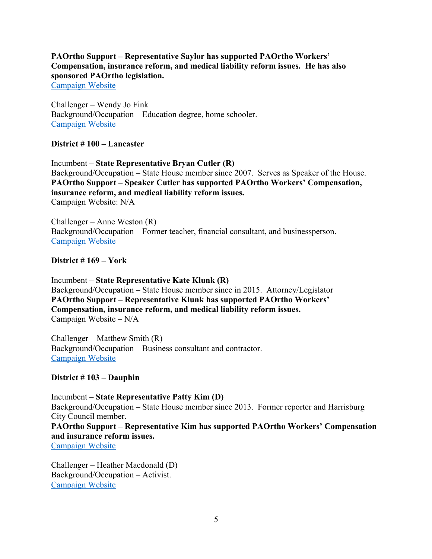# **PAOrtho Support – Representative Saylor has supported PAOrtho Workers' Compensation, insurance reform, and medical liability reform issues. He has also sponsored PAOrtho legislation.**

Campaign Website

Challenger – Wendy Jo Fink Background/Occupation – Education degree, home schooler. Campaign Website

#### **District # 100 – Lancaster**

Incumbent – **State Representative Bryan Cutler (R)** Background/Occupation – State House member since 2007. Serves as Speaker of the House. **PAOrtho Support – Speaker Cutler has supported PAOrtho Workers' Compensation, insurance reform, and medical liability reform issues.**  Campaign Website: N/A

Challenger – Anne Weston (R) Background/Occupation – Former teacher, financial consultant, and businessperson. Campaign Website

#### **District # 169 – York**

Incumbent – **State Representative Kate Klunk (R)** Background/Occupation – State House member since in 2015. Attorney/Legislator **PAOrtho Support – Representative Klunk has supported PAOrtho Workers' Compensation, insurance reform, and medical liability reform issues.**  Campaign Website – N/A

Challenger – Matthew Smith (R) Background/Occupation – Business consultant and contractor. Campaign Website

# **District # 103 – Dauphin**

Incumbent – **State Representative Patty Kim (D)** Background/Occupation – State House member since 2013. Former reporter and Harrisburg City Council member. **PAOrtho Support – Representative Kim has supported PAOrtho Workers' Compensation and insurance reform issues.**  Campaign Website

Challenger – Heather Macdonald (D) Background/Occupation – Activist. Campaign Website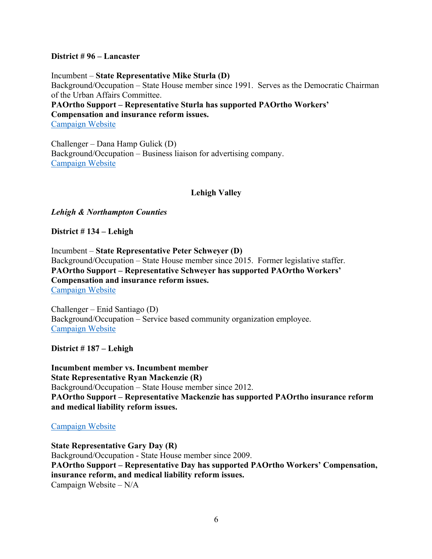### **District # 96 – Lancaster**

Incumbent – **State Representative Mike Sturla (D)** Background/Occupation – State House member since 1991. Serves as the Democratic Chairman of the Urban Affairs Committee. **PAOrtho Support – Representative Sturla has supported PAOrtho Workers' Compensation and insurance reform issues.** 

Campaign Website

Challenger – Dana Hamp Gulick (D) Background/Occupation – Business liaison for advertising company. Campaign Website

# **Lehigh Valley**

# *Lehigh & Northampton Counties*

**District # 134 – Lehigh** 

Incumbent – **State Representative Peter Schweyer (D)** Background/Occupation – State House member since 2015. Former legislative staffer. **PAOrtho Support – Representative Schweyer has supported PAOrtho Workers' Compensation and insurance reform issues.**  Campaign Website

Challenger – Enid Santiago (D) Background/Occupation – Service based community organization employee. Campaign Website

**District # 187 – Lehigh**

**Incumbent member vs. Incumbent member State Representative Ryan Mackenzie (R)** Background/Occupation – State House member since 2012. **PAOrtho Support – Representative Mackenzie has supported PAOrtho insurance reform and medical liability reform issues.** 

# Campaign Website

**State Representative Gary Day (R)** Background/Occupation - State House member since 2009. **PAOrtho Support – Representative Day has supported PAOrtho Workers' Compensation, insurance reform, and medical liability reform issues.**  Campaign Website – N/A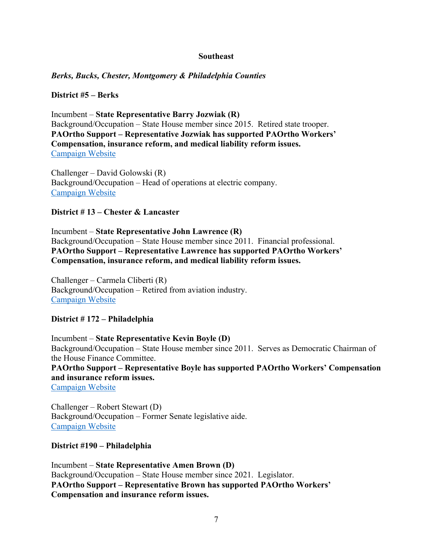#### **Southeast**

# *Berks, Bucks, Chester, Montgomery & Philadelphia Counties*

### **District #5 – Berks**

Incumbent – **State Representative Barry Jozwiak (R)** Background/Occupation – State House member since 2015. Retired state trooper. **PAOrtho Support – Representative Jozwiak has supported PAOrtho Workers' Compensation, insurance reform, and medical liability reform issues.**  Campaign Website

Challenger – David Golowski (R) Background/Occupation – Head of operations at electric company. Campaign Website

#### **District # 13 – Chester & Lancaster**

Incumbent – **State Representative John Lawrence (R)** Background/Occupation – State House member since 2011. Financial professional. **PAOrtho Support – Representative Lawrence has supported PAOrtho Workers' Compensation, insurance reform, and medical liability reform issues.** 

Challenger – Carmela Cliberti (R) Background/Occupation – Retired from aviation industry. Campaign Website

#### **District # 172 – Philadelphia**

Incumbent – **State Representative Kevin Boyle (D)** Background/Occupation – State House member since 2011. Serves as Democratic Chairman of the House Finance Committee. **PAOrtho Support – Representative Boyle has supported PAOrtho Workers' Compensation and insurance reform issues.** 

Campaign Website

Challenger – Robert Stewart (D) Background/Occupation – Former Senate legislative aide. Campaign Website

#### **District #190 – Philadelphia**

Incumbent – **State Representative Amen Brown (D)** Background/Occupation – State House member since 2021. Legislator. **PAOrtho Support – Representative Brown has supported PAOrtho Workers' Compensation and insurance reform issues.**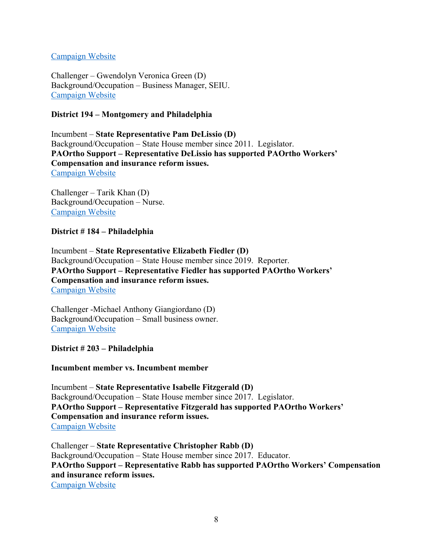# Campaign Website

Challenger – Gwendolyn Veronica Green (D) Background/Occupation – Business Manager, SEIU. Campaign Website

# **District 194 – Montgomery and Philadelphia**

Incumbent – **State Representative Pam DeLissio (D)** Background/Occupation – State House member since 2011. Legislator. **PAOrtho Support – Representative DeLissio has supported PAOrtho Workers' Compensation and insurance reform issues.**  Campaign Website

Challenger – Tarik Khan (D) Background/Occupation – Nurse. Campaign Website

# **District # 184 – Philadelphia**

Incumbent – **State Representative Elizabeth Fiedler (D)** Background/Occupation – State House member since 2019. Reporter. **PAOrtho Support – Representative Fiedler has supported PAOrtho Workers' Compensation and insurance reform issues.**  Campaign Website

Challenger -Michael Anthony Giangiordano (D) Background/Occupation – Small business owner. Campaign Website

**District # 203 – Philadelphia**

**Incumbent member vs. Incumbent member**

Incumbent – **State Representative Isabelle Fitzgerald (D)** Background/Occupation – State House member since 2017. Legislator. **PAOrtho Support – Representative Fitzgerald has supported PAOrtho Workers' Compensation and insurance reform issues.**  Campaign Website

Challenger – **State Representative Christopher Rabb (D)** Background/Occupation – State House member since 2017. Educator. **PAOrtho Support – Representative Rabb has supported PAOrtho Workers' Compensation and insurance reform issues.**  Campaign Website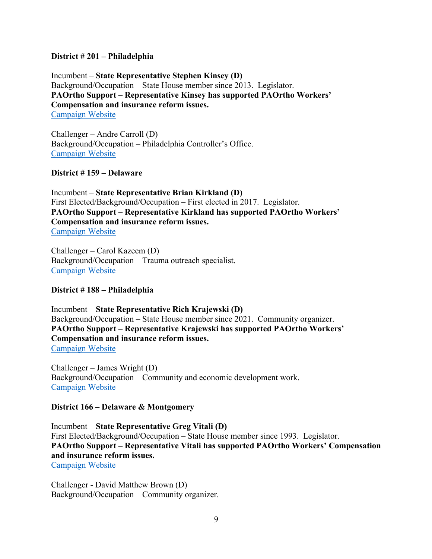# **District # 201 – Philadelphia**

Incumbent – **State Representative Stephen Kinsey (D)** Background/Occupation – State House member since 2013. Legislator. **PAOrtho Support – Representative Kinsey has supported PAOrtho Workers' Compensation and insurance reform issues.**  Campaign Website

Challenger – Andre Carroll (D) Background/Occupation – Philadelphia Controller's Office. Campaign Website

# **District # 159 – Delaware**

Incumbent – **State Representative Brian Kirkland (D)** First Elected/Background/Occupation – First elected in 2017. Legislator. **PAOrtho Support – Representative Kirkland has supported PAOrtho Workers' Compensation and insurance reform issues.**  Campaign Website

Challenger – Carol Kazeem (D) Background/Occupation – Trauma outreach specialist. Campaign Website

#### **District # 188 – Philadelphia**

Incumbent – **State Representative Rich Krajewski (D)**  Background/Occupation – State House member since 2021. Community organizer. **PAOrtho Support – Representative Krajewski has supported PAOrtho Workers' Compensation and insurance reform issues.**  Campaign Website

Challenger – James Wright (D) Background/Occupation – Community and economic development work. Campaign Website

#### **District 166 – Delaware & Montgomery**

Incumbent – **State Representative Greg Vitali (D)** First Elected/Background/Occupation – State House member since 1993. Legislator. **PAOrtho Support – Representative Vitali has supported PAOrtho Workers' Compensation and insurance reform issues.**  Campaign Website

Challenger - David Matthew Brown (D) Background/Occupation – Community organizer.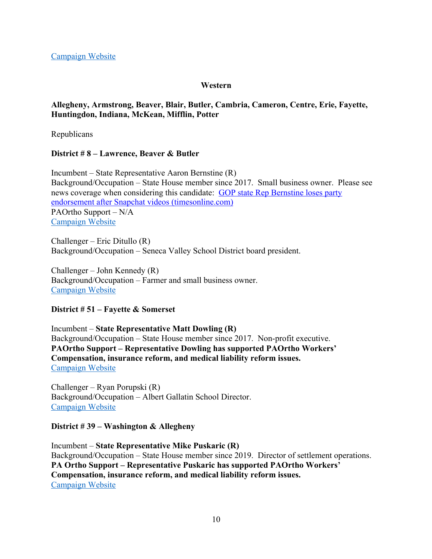# **Western**

# **Allegheny, Armstrong, Beaver, Blair, Butler, Cambria, Cameron, Centre, Erie, Fayette, Huntingdon, Indiana, McKean, Mifflin, Potter**

Republicans

# **District # 8 – Lawrence, Beaver & Butler**

Incumbent – State Representative Aaron Bernstine (R) Background/Occupation – State House member since 2017. Small business owner. Please see news coverage when considering this candidate: GOP state Rep Bernstine loses party endorsement after Snapchat videos (timesonline.com) PAOrtho Support – N/A Campaign Website

Challenger – Eric Ditullo (R) Background/Occupation – Seneca Valley School District board president.

Challenger – John Kennedy (R) Background/Occupation – Farmer and small business owner. Campaign Website

# **District # 51 – Fayette & Somerset**

Incumbent – **State Representative Matt Dowling (R)**  Background/Occupation – State House member since 2017. Non-profit executive. **PAOrtho Support – Representative Dowling has supported PAOrtho Workers' Compensation, insurance reform, and medical liability reform issues.**  Campaign Website

Challenger – Ryan Porupski (R) Background/Occupation – Albert Gallatin School Director. Campaign Website

# **District # 39 – Washington & Allegheny**

Incumbent – **State Representative Mike Puskaric (R)** Background/Occupation – State House member since 2019. Director of settlement operations. **PA Ortho Support – Representative Puskaric has supported PAOrtho Workers' Compensation, insurance reform, and medical liability reform issues.**  Campaign Website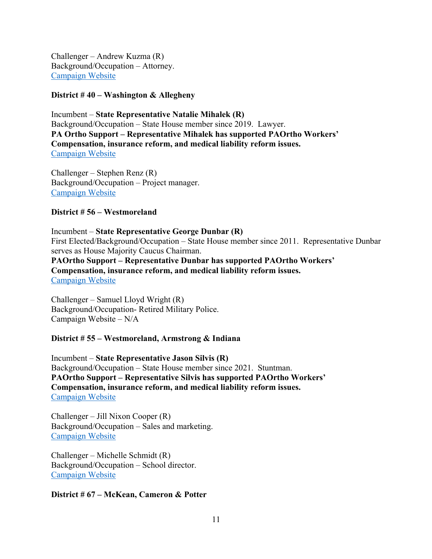Challenger – Andrew Kuzma (R) Background/Occupation – Attorney. Campaign Website

### **District # 40 – Washington & Allegheny**

Incumbent – **State Representative Natalie Mihalek (R)** Background/Occupation – State House member since 2019. Lawyer. **PA Ortho Support – Representative Mihalek has supported PAOrtho Workers' Compensation, insurance reform, and medical liability reform issues.**  Campaign Website

Challenger – Stephen Renz (R) Background/Occupation – Project manager. Campaign Website

#### **District # 56 – Westmoreland**

Incumbent – **State Representative George Dunbar (R)**  First Elected/Background/Occupation – State House member since 2011. Representative Dunbar serves as House Majority Caucus Chairman.

**PAOrtho Support – Representative Dunbar has supported PAOrtho Workers' Compensation, insurance reform, and medical liability reform issues.**  Campaign Website

Challenger – Samuel Lloyd Wright (R) Background/Occupation- Retired Military Police. Campaign Website – N/A

#### **District # 55 – Westmoreland, Armstrong & Indiana**

Incumbent – **State Representative Jason Silvis (R)** Background/Occupation – State House member since 2021. Stuntman. **PAOrtho Support – Representative Silvis has supported PAOrtho Workers' Compensation, insurance reform, and medical liability reform issues.**  Campaign Website

Challenger – Jill Nixon Cooper (R) Background/Occupation – Sales and marketing. Campaign Website

Challenger – Michelle Schmidt (R) Background/Occupation – School director. Campaign Website

#### **District # 67 – McKean, Cameron & Potter**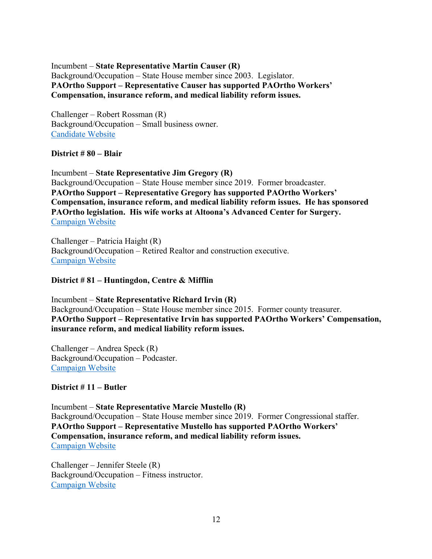Incumbent – **State Representative Martin Causer (R)** Background/Occupation – State House member since 2003. Legislator. **PAOrtho Support – Representative Causer has supported PAOrtho Workers' Compensation, insurance reform, and medical liability reform issues.** 

Challenger – Robert Rossman (R) Background/Occupation – Small business owner. Candidate Website

# **District # 80 – Blair**

Incumbent – **State Representative Jim Gregory (R)** Background/Occupation – State House member since 2019. Former broadcaster. **PAOrtho Support – Representative Gregory has supported PAOrtho Workers' Compensation, insurance reform, and medical liability reform issues. He has sponsored PAOrtho legislation. His wife works at Altoona's Advanced Center for Surgery.**  Campaign Website

Challenger – Patricia Haight (R) Background/Occupation – Retired Realtor and construction executive. Campaign Website

# **District # 81 – Huntingdon, Centre & Mifflin**

Incumbent – **State Representative Richard Irvin (R)** Background/Occupation – State House member since 2015. Former county treasurer. **PAOrtho Support – Representative Irvin has supported PAOrtho Workers' Compensation, insurance reform, and medical liability reform issues.** 

Challenger – Andrea Speck (R) Background/Occupation – Podcaster. Campaign Website

# **District # 11 – Butler**

Incumbent – **State Representative Marcie Mustello (R)** Background/Occupation – State House member since 2019. Former Congressional staffer. **PAOrtho Support – Representative Mustello has supported PAOrtho Workers' Compensation, insurance reform, and medical liability reform issues.**  Campaign Website

Challenger – Jennifer Steele (R) Background/Occupation – Fitness instructor. Campaign Website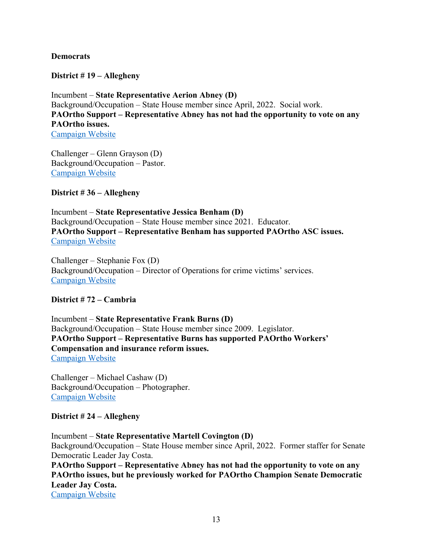# **Democrats**

**District # 19 – Allegheny**

Incumbent – **State Representative Aerion Abney (D)** Background/Occupation – State House member since April, 2022. Social work. **PAOrtho Support – Representative Abney has not had the opportunity to vote on any PAOrtho issues.**  Campaign Website

Challenger – Glenn Grayson (D) Background/Occupation – Pastor. Campaign Website

**District # 36 – Allegheny**

Incumbent – **State Representative Jessica Benham (D)** Background/Occupation – State House member since 2021. Educator. **PAOrtho Support – Representative Benham has supported PAOrtho ASC issues.**  Campaign Website

Challenger – Stephanie Fox (D) Background/Occupation – Director of Operations for crime victims' services. Campaign Website

# **District # 72 – Cambria**

Incumbent – **State Representative Frank Burns (D)** Background/Occupation – State House member since 2009. Legislator. **PAOrtho Support – Representative Burns has supported PAOrtho Workers' Compensation and insurance reform issues.**  Campaign Website

Challenger – Michael Cashaw (D) Background/Occupation – Photographer. Campaign Website

# **District # 24 – Allegheny**

Incumbent – **State Representative Martell Covington (D)** Background/Occupation – State House member since April, 2022. Former staffer for Senate Democratic Leader Jay Costa. **PAOrtho Support – Representative Abney has not had the opportunity to vote on any PAOrtho issues, but he previously worked for PAOrtho Champion Senate Democratic Leader Jay Costa.** 

Campaign Website